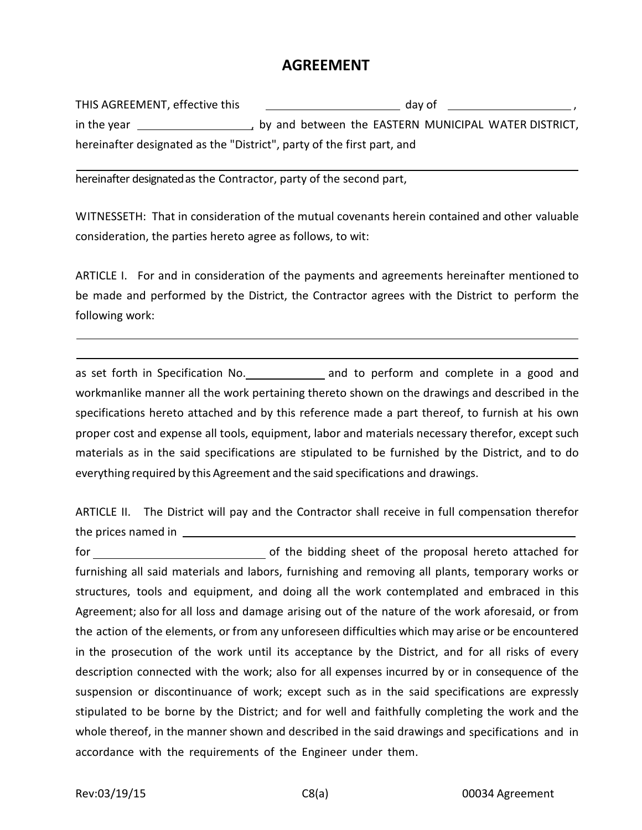## **AGREEMENT**

| THIS AGREEMENT, effective this                                         | day of                                                 |
|------------------------------------------------------------------------|--------------------------------------------------------|
| in the year                                                            | , by and between the EASTERN MUNICIPAL WATER DISTRICT, |
| hereinafter designated as the "District", party of the first part, and |                                                        |

hereinafter designatedas the Contractor, party of the second part,

WITNESSETH: That in consideration of the mutual covenants herein contained and other valuable consideration, the parties hereto agree as follows, to wit:

ARTICLE I. For and in consideration of the payments and agreements hereinafter mentioned to be made and performed by the District, the Contractor agrees with the District to perform the following work:

as set forth in Specification No. \_\_\_\_\_\_\_\_\_\_\_\_\_ and to perform and complete in a good and workmanlike manner all the work pertaining thereto shown on the drawings and described in the specifications hereto attached and by this reference made a part thereof, to furnish at his own proper cost and expense all tools, equipment, labor and materials necessary therefor, except such materials as in the said specifications are stipulated to be furnished by the District, and to do everything required by this Agreement and the said specifications and drawings.

ARTICLE II. The District will pay and the Contractor shall receive in full compensation therefor the prices named in

for of the bidding sheet of the proposal hereto attached for furnishing all said materials and labors, furnishing and removing all plants, temporary works or structures, tools and equipment, and doing all the work contemplated and embraced in this Agreement; also for all loss and damage arising out of the nature of the work aforesaid, or from the action of the elements, or from any unforeseen difficulties which may arise or be encountered in the prosecution of the work until its acceptance by the District, and for all risks of every description connected with the work; also for all expenses incurred by or in consequence of the suspension or discontinuance of work; except such as in the said specifications are expressly stipulated to be borne by the District; and for well and faithfully completing the work and the whole thereof, in the manner shown and described in the said drawings and specifications and in accordance with the requirements of the Engineer under them.